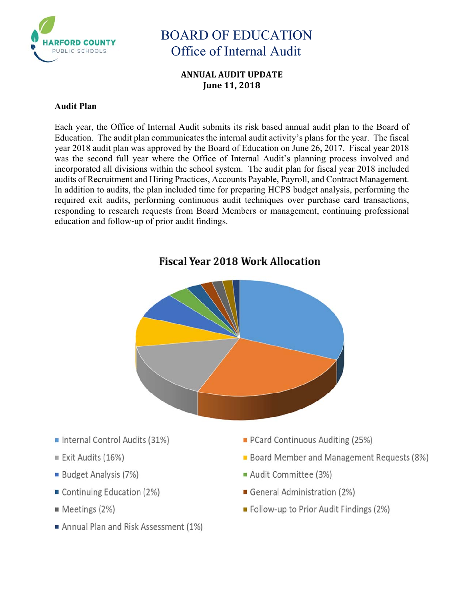

### **ANNUAL AUDIT UPDATE June 11, 2018**

### **Audit Plan**

Each year, the Office of Internal Audit submits its risk based annual audit plan to the Board of Education. The audit plan communicates the internal audit activity's plans for the year. The fiscal year 2018 audit plan was approved by the Board of Education on June 26, 2017. Fiscal year 2018 was the second full year where the Office of Internal Audit's planning process involved and incorporated all divisions within the school system. The audit plan for fiscal year 2018 included audits of Recruitment and Hiring Practices, Accounts Payable, Payroll, and Contract Management. In addition to audits, the plan included time for preparing HCPS budget analysis, performing the required exit audits, performing continuous audit techniques over purchase card transactions, responding to research requests from Board Members or management, continuing professional education and follow‐up of prior audit findings.



## **Fiscal Year 2018 Work Allocation**

- Internal Control Audits (31%)
- Exit Audits (16%)
- **Budget Analysis (7%)**
- Continuing Education (2%)
- Meetings (2%)
- Annual Plan and Risk Assessment (1%)
- PCard Continuous Auditing (25%)
- **Board Member and Management Requests (8%)**
- Audit Committee (3%)
- General Administration (2%)
- Follow-up to Prior Audit Findings (2%)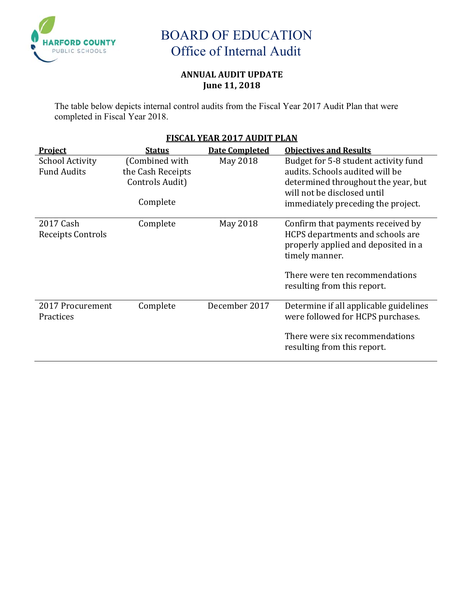

### **ANNUAL AUDIT UPDATE June 11, 2018**

The table below depicts internal control audits from the Fiscal Year 2017 Audit Plan that were completed in Fiscal Year 2018.

## **FISCAL YEAR 2017 AUDIT PLAN**

| <b>Project</b>                               | <b>Status</b>                                                      | <b>Date Completed</b> | <b>Objectives and Results</b>                                                                                                                                                                   |
|----------------------------------------------|--------------------------------------------------------------------|-----------------------|-------------------------------------------------------------------------------------------------------------------------------------------------------------------------------------------------|
| <b>School Activity</b><br><b>Fund Audits</b> | (Combined with<br>the Cash Receipts<br>Controls Audit)<br>Complete | May 2018              | Budget for 5-8 student activity fund<br>audits. Schools audited will be<br>determined throughout the year, but<br>will not be disclosed until<br>immediately preceding the project.             |
| 2017 Cash<br>Receipts Controls               | Complete                                                           | May 2018              | Confirm that payments received by<br>HCPS departments and schools are<br>properly applied and deposited in a<br>timely manner.<br>There were ten recommendations<br>resulting from this report. |
| 2017 Procurement<br>Practices                | Complete                                                           | December 2017         | Determine if all applicable guidelines<br>were followed for HCPS purchases.<br>There were six recommendations<br>resulting from this report.                                                    |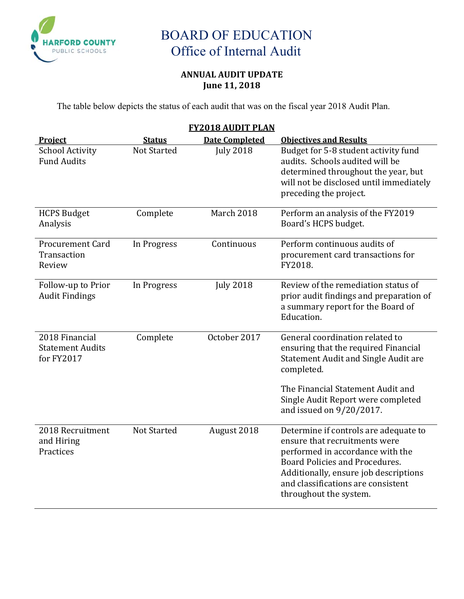

## **ANNUAL AUDIT UPDATE June 11, 2018**

The table below depicts the status of each audit that was on the fiscal year 2018 Audit Plan.

| <b>FY2018 AUDIT PLAN</b>                                |                    |                       |                                                                                                                                                                                                                                                       |  |
|---------------------------------------------------------|--------------------|-----------------------|-------------------------------------------------------------------------------------------------------------------------------------------------------------------------------------------------------------------------------------------------------|--|
| Project                                                 | <b>Status</b>      | <b>Date Completed</b> | <b>Objectives and Results</b>                                                                                                                                                                                                                         |  |
| <b>School Activity</b><br><b>Fund Audits</b>            | <b>Not Started</b> | <b>July 2018</b>      | Budget for 5-8 student activity fund<br>audits. Schools audited will be<br>determined throughout the year, but<br>will not be disclosed until immediately<br>preceding the project.                                                                   |  |
| <b>HCPS Budget</b><br>Analysis                          | Complete           | March 2018            | Perform an analysis of the FY2019<br>Board's HCPS budget.                                                                                                                                                                                             |  |
| <b>Procurement Card</b><br>Transaction<br>Review        | In Progress        | Continuous            | Perform continuous audits of<br>procurement card transactions for<br>FY2018.                                                                                                                                                                          |  |
| Follow-up to Prior<br><b>Audit Findings</b>             | In Progress        | <b>July 2018</b>      | Review of the remediation status of<br>prior audit findings and preparation of<br>a summary report for the Board of<br>Education.                                                                                                                     |  |
| 2018 Financial<br><b>Statement Audits</b><br>for FY2017 | Complete           | October 2017          | General coordination related to<br>ensuring that the required Financial<br><b>Statement Audit and Single Audit are</b><br>completed.<br>The Financial Statement Audit and<br>Single Audit Report were completed<br>and issued on 9/20/2017.           |  |
| 2018 Recruitment<br>and Hiring<br>Practices             | <b>Not Started</b> | August 2018           | Determine if controls are adequate to<br>ensure that recruitments were<br>performed in accordance with the<br>Board Policies and Procedures.<br>Additionally, ensure job descriptions<br>and classifications are consistent<br>throughout the system. |  |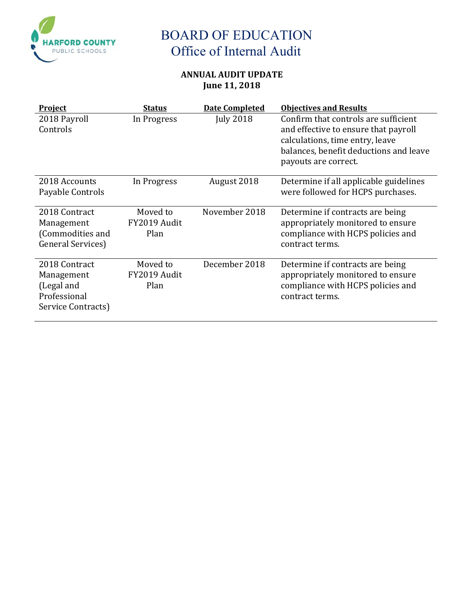

## **ANNUAL AUDIT UPDATE June 11, 2018**

| <b>Project</b>                                                                  | <b>Status</b>                    | <b>Date Completed</b> | <b>Objectives and Results</b>                                                                                                                                                     |
|---------------------------------------------------------------------------------|----------------------------------|-----------------------|-----------------------------------------------------------------------------------------------------------------------------------------------------------------------------------|
| 2018 Payroll<br>Controls                                                        | In Progress                      | <b>July 2018</b>      | Confirm that controls are sufficient<br>and effective to ensure that payroll<br>calculations, time entry, leave<br>balances, benefit deductions and leave<br>payouts are correct. |
| 2018 Accounts<br>Payable Controls                                               | In Progress                      | August 2018           | Determine if all applicable guidelines<br>were followed for HCPS purchases.                                                                                                       |
| 2018 Contract<br>Management<br>(Commodities and<br>General Services)            | Moved to<br>FY2019 Audit<br>Plan | November 2018         | Determine if contracts are being<br>appropriately monitored to ensure<br>compliance with HCPS policies and<br>contract terms.                                                     |
| 2018 Contract<br>Management<br>(Legal and<br>Professional<br>Service Contracts) | Moved to<br>FY2019 Audit<br>Plan | December 2018         | Determine if contracts are being<br>appropriately monitored to ensure<br>compliance with HCPS policies and<br>contract terms.                                                     |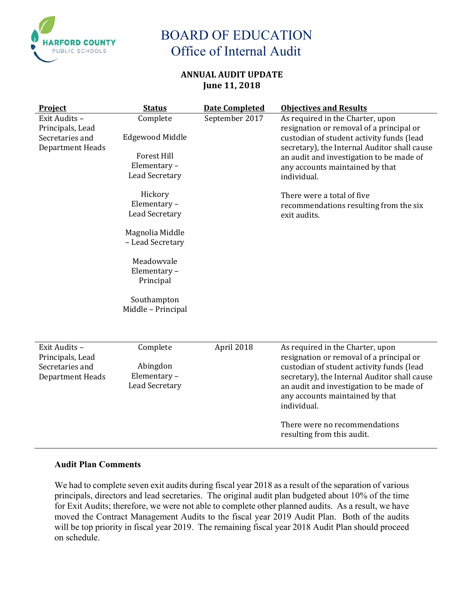

### **ANNUAL AUDIT UPDATE June 11, 2018**

| <b>Project</b>                                                                  | <b>Status</b>                                                                             | <b>Date Completed</b> | <b>Objectives and Results</b>                                                                                                                                                                                                                                           |
|---------------------------------------------------------------------------------|-------------------------------------------------------------------------------------------|-----------------------|-------------------------------------------------------------------------------------------------------------------------------------------------------------------------------------------------------------------------------------------------------------------------|
| Exit Audits -<br>Principals, Lead<br>Secretaries and<br>Department Heads        | Complete<br><b>Edgewood Middle</b><br><b>Forest Hill</b><br>Elementary-<br>Lead Secretary | September 2017        | As required in the Charter, upon<br>resignation or removal of a principal or<br>custodian of student activity funds (lead<br>secretary), the Internal Auditor shall cause<br>an audit and investigation to be made of<br>any accounts maintained by that<br>individual. |
|                                                                                 | Hickory<br>Elementary-<br><b>Lead Secretary</b>                                           |                       | There were a total of five<br>recommendations resulting from the six<br>exit audits.                                                                                                                                                                                    |
|                                                                                 | Magnolia Middle<br>- Lead Secretary                                                       |                       |                                                                                                                                                                                                                                                                         |
|                                                                                 | Meadowvale<br>Elementary-<br>Principal                                                    |                       |                                                                                                                                                                                                                                                                         |
|                                                                                 | Southampton<br>Middle - Principal                                                         |                       |                                                                                                                                                                                                                                                                         |
| Exit Audits -<br>Principals, Lead<br>Secretaries and<br><b>Department Heads</b> | Complete<br>Abingdon<br>Elementary-<br>Lead Secretary                                     | April 2018            | As required in the Charter, upon<br>resignation or removal of a principal or<br>custodian of student activity funds (lead<br>secretary), the Internal Auditor shall cause<br>an audit and investigation to be made of<br>any accounts maintained by that<br>individual. |
|                                                                                 |                                                                                           |                       | There were no recommendations<br>resulting from this audit.                                                                                                                                                                                                             |

#### **Audit Plan Comments**

We had to complete seven exit audits during fiscal year 2018 as a result of the separation of various principals, directors and lead secretaries. The original audit plan budgeted about 10% of the time for Exit Audits; therefore, we were not able to complete other planned audits. As a result, we have moved the Contract Management Audits to the fiscal year 2019 Audit Plan. Both of the audits will be top priority in fiscal year 2019. The remaining fiscal year 2018 Audit Plan should proceed on schedule.